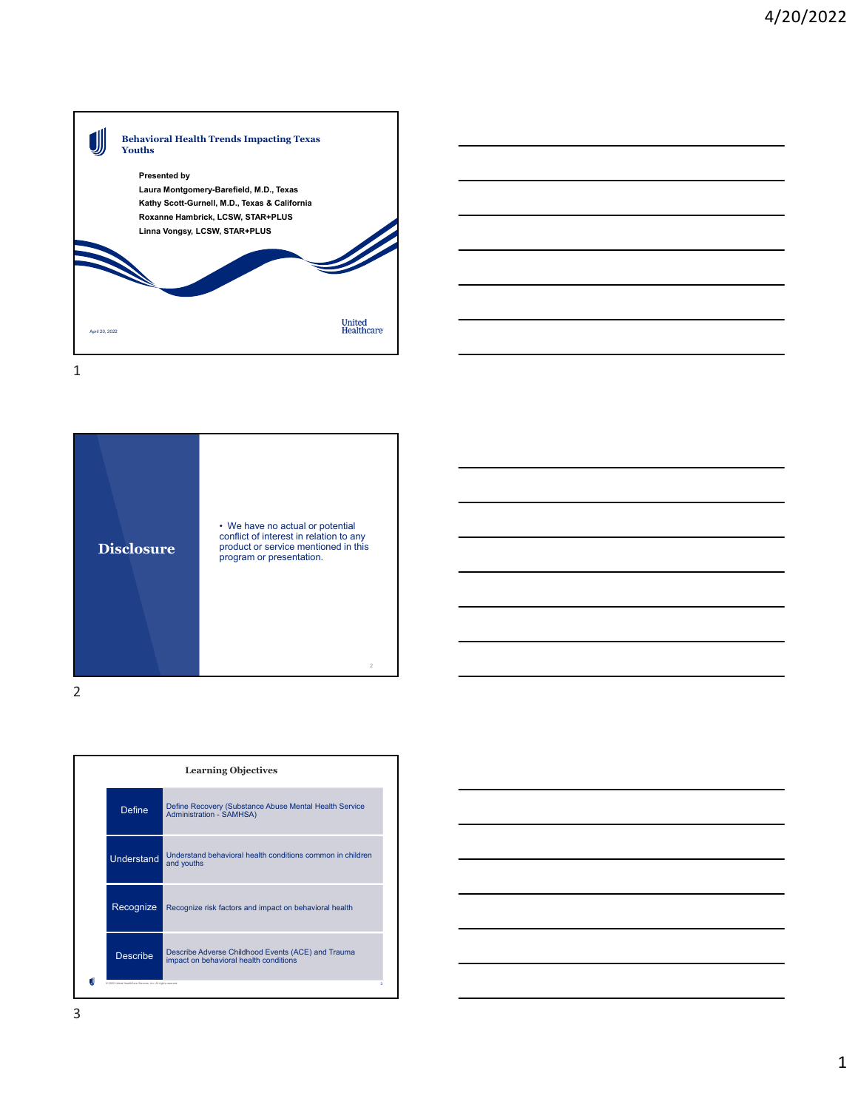

• We have no actual or potential conflict of interest in relation to any product or service mentioned in this program or presentation.

 $\overline{2}$ 



2

**Disclosure**

| <b>Learning Objectives</b> |                                                                                              |  |
|----------------------------|----------------------------------------------------------------------------------------------|--|
| <b>Define</b>              | Define Recovery (Substance Abuse Mental Health Service<br><b>Administration - SAMHSA)</b>    |  |
| <b>Understand</b>          | Understand behavioral health conditions common in children<br>and youths                     |  |
| Recognize                  | Recognize risk factors and impact on behavioral health                                       |  |
| <b>Describe</b>            | Describe Adverse Childhood Events (ACE) and Trauma<br>impact on behavioral health conditions |  |

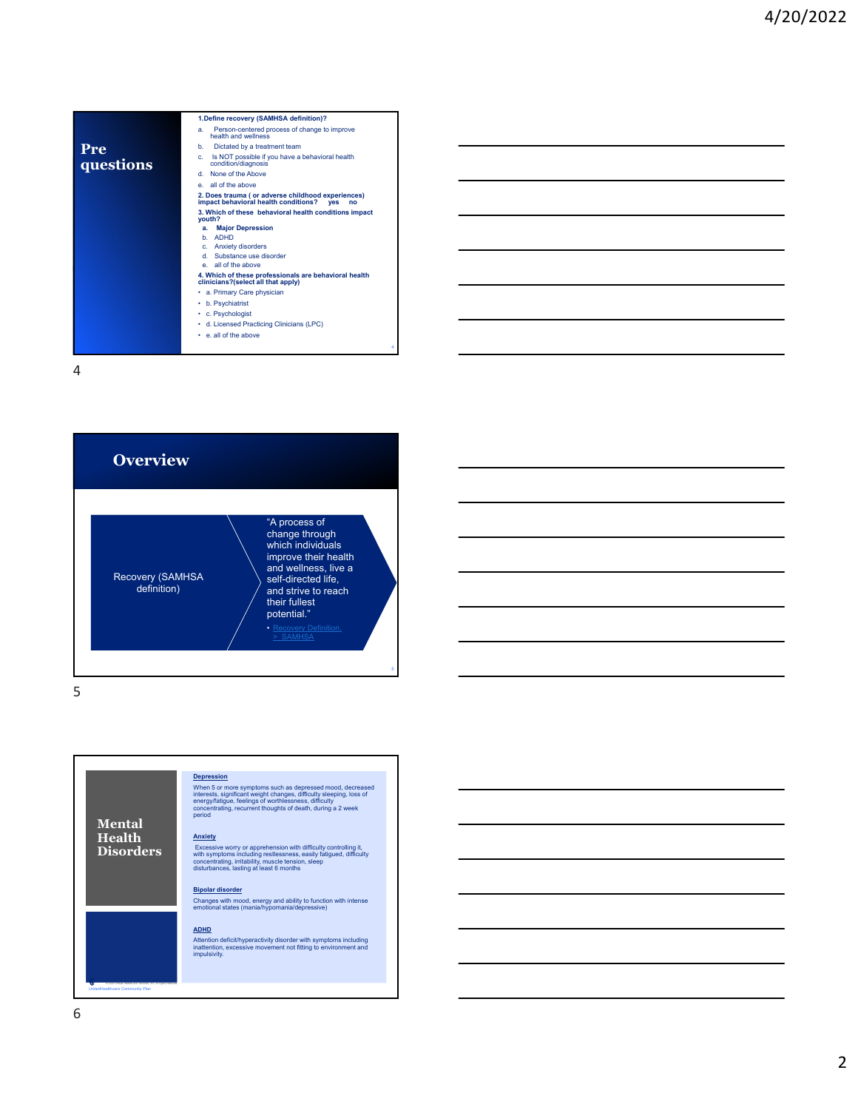|           | 1. Define recovery (SAMHSA definition)?                                                                       |
|-----------|---------------------------------------------------------------------------------------------------------------|
|           | Person-centered process of change to improve<br>a.<br>health and wellness                                     |
| Pre       | Dictated by a treatment team<br>b.                                                                            |
| questions | Is NOT possible if you have a behavioral health<br>c.<br>condition/diagnosis                                  |
|           | None of the Above<br>d.                                                                                       |
|           | e. all of the above                                                                                           |
|           | 2. Does trauma (or adverse childhood experiences)<br>impact behavioral health conditions?<br><b>ves</b><br>no |
|           | 3. Which of these behavioral health conditions impact<br>youth?                                               |
|           | <b>Major Depression</b><br>a.                                                                                 |
|           | <b>ADHD</b><br>h.                                                                                             |
|           | <b>Anxiety disorders</b><br>c.                                                                                |
|           | Substance use disorder<br>d.                                                                                  |
|           | all of the above                                                                                              |
|           | 4. Which of these professionals are behavioral health<br>clinicians?(select all that apply)                   |
|           | • a. Primary Care physician                                                                                   |
|           | b. Psychiatrist<br>٠                                                                                          |
|           | • c. Psychologist                                                                                             |
|           | • d. Licensed Practicing Clinicians (LPC)                                                                     |
|           | e, all of the above                                                                                           |
|           | ۵                                                                                                             |
|           |                                                                                                               |



5



Changes with mood, energy and ability to function with intense emotional states (mania/hypomania/depressive)

## **ADHD**

Attention deficit/hyperactivity disorder with symptoms including inattention, excessive movement not fitting to environment and impulsivity.

UnitedHealthcare Community Plan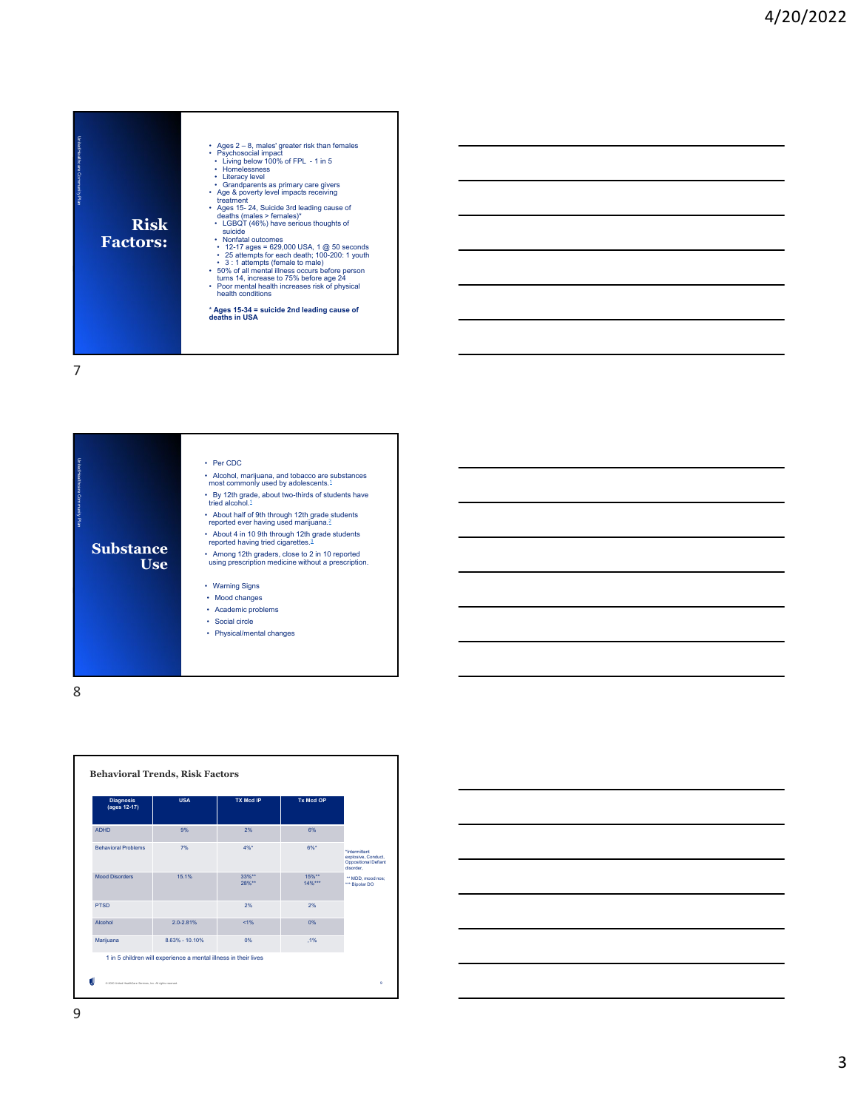





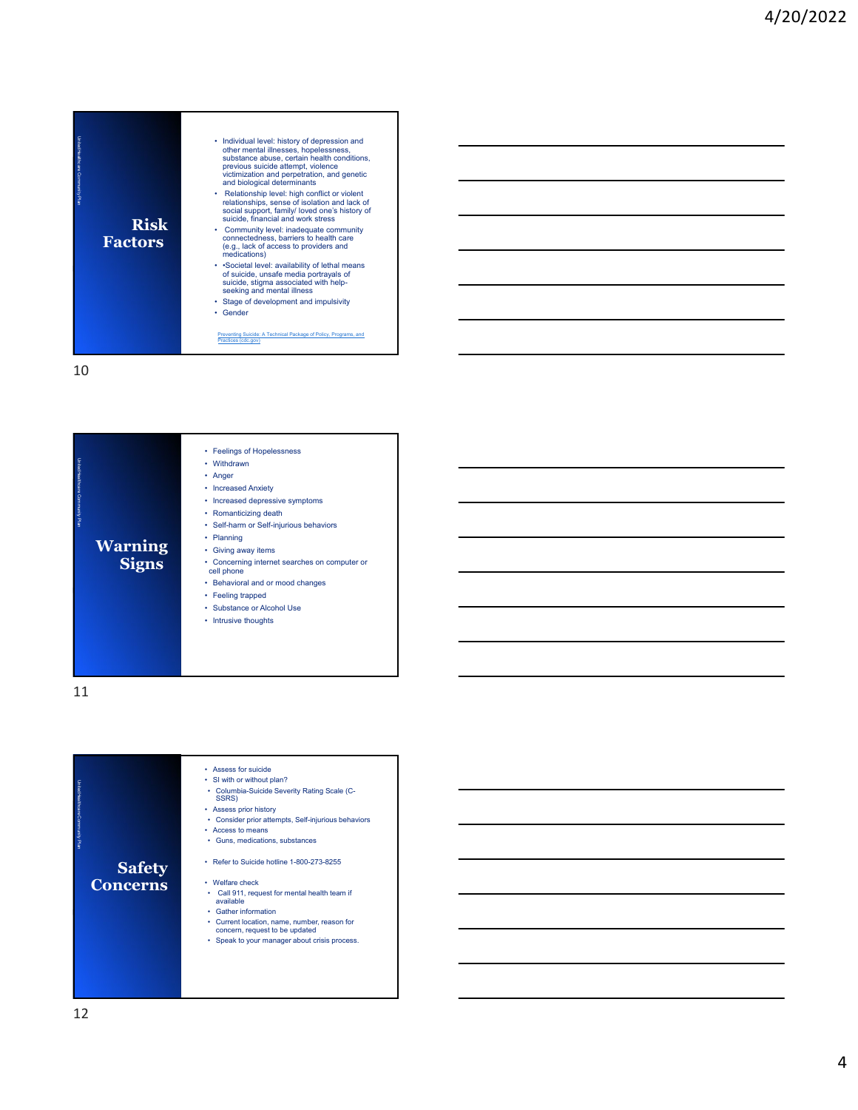

| UnitedHealthcare Community Plan<br><b>Warning</b><br><b>Signs</b> | • Feelings of Hopelessness<br>Withdrawn<br>٠<br>Anger<br><b>Increased Anxiety</b><br>Increased depressive symptoms<br>• Romanticizing death<br>• Self-harm or Self-injurious behaviors<br>Planning<br>Giving away items<br>Concerning internet searches on computer or<br>cell phone<br>• Behavioral and or mood changes<br>• Feeling trapped<br>• Substance or Alcohol Use<br>Intrusive thoughts<br>٠ |
|-------------------------------------------------------------------|--------------------------------------------------------------------------------------------------------------------------------------------------------------------------------------------------------------------------------------------------------------------------------------------------------------------------------------------------------------------------------------------------------|
|-------------------------------------------------------------------|--------------------------------------------------------------------------------------------------------------------------------------------------------------------------------------------------------------------------------------------------------------------------------------------------------------------------------------------------------------------------------------------------------|

| UnitedHealthcare Community Ran<br>Safety<br>Concerns | Assess for suicide<br>٠<br>• SI with or without plan?<br>• Columbia-Suicide Severity Rating Scale (C-<br>SSRS)<br>• Assess prior history<br>• Consider prior attempts, Self-injurious behaviors<br>• Access to means<br>Guns, medications, substances<br>٠<br>Refer to Suicide hotline 1-800-273-8255<br>• Welfare check<br>Call 911, request for mental health team if<br>٠<br>available<br>• Gather information<br>• Current location, name, number, reason for<br>concern, request to be updated<br>• Speak to your manager about crisis process. |
|------------------------------------------------------|------------------------------------------------------------------------------------------------------------------------------------------------------------------------------------------------------------------------------------------------------------------------------------------------------------------------------------------------------------------------------------------------------------------------------------------------------------------------------------------------------------------------------------------------------|
|                                                      |                                                                                                                                                                                                                                                                                                                                                                                                                                                                                                                                                      |
|                                                      |                                                                                                                                                                                                                                                                                                                                                                                                                                                                                                                                                      |
|                                                      |                                                                                                                                                                                                                                                                                                                                                                                                                                                                                                                                                      |
|                                                      |                                                                                                                                                                                                                                                                                                                                                                                                                                                                                                                                                      |
|                                                      |                                                                                                                                                                                                                                                                                                                                                                                                                                                                                                                                                      |
|                                                      |                                                                                                                                                                                                                                                                                                                                                                                                                                                                                                                                                      |
|                                                      |                                                                                                                                                                                                                                                                                                                                                                                                                                                                                                                                                      |
|                                                      |                                                                                                                                                                                                                                                                                                                                                                                                                                                                                                                                                      |
|                                                      |                                                                                                                                                                                                                                                                                                                                                                                                                                                                                                                                                      |
|                                                      |                                                                                                                                                                                                                                                                                                                                                                                                                                                                                                                                                      |
|                                                      |                                                                                                                                                                                                                                                                                                                                                                                                                                                                                                                                                      |
|                                                      |                                                                                                                                                                                                                                                                                                                                                                                                                                                                                                                                                      |
|                                                      |                                                                                                                                                                                                                                                                                                                                                                                                                                                                                                                                                      |
|                                                      |                                                                                                                                                                                                                                                                                                                                                                                                                                                                                                                                                      |
|                                                      |                                                                                                                                                                                                                                                                                                                                                                                                                                                                                                                                                      |
|                                                      |                                                                                                                                                                                                                                                                                                                                                                                                                                                                                                                                                      |
|                                                      |                                                                                                                                                                                                                                                                                                                                                                                                                                                                                                                                                      |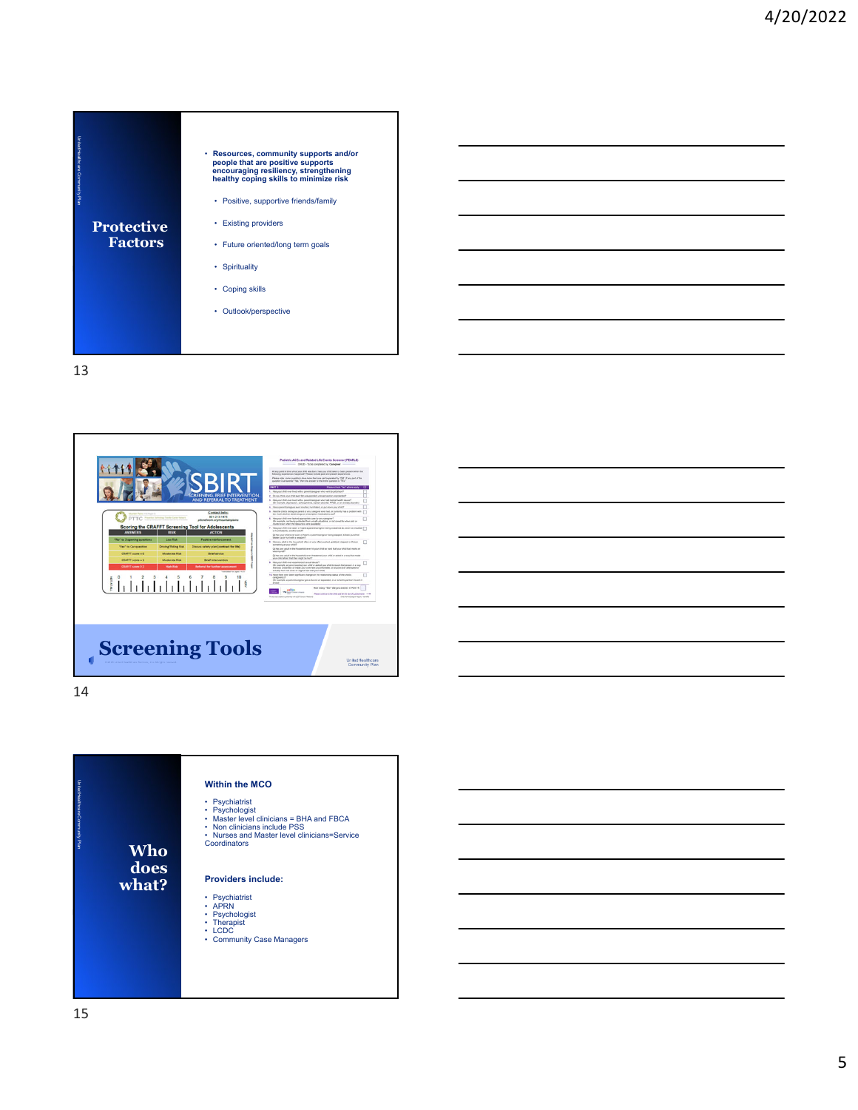





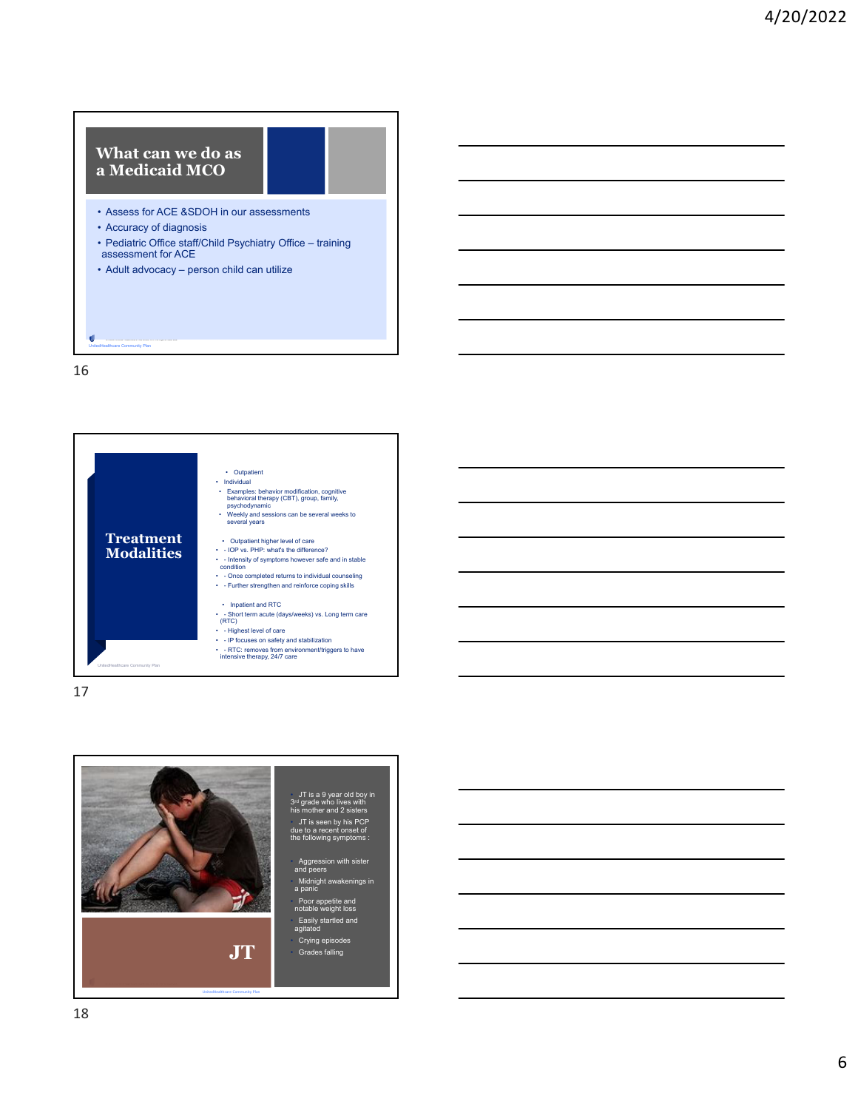## **What can we do as a Medicaid MCO**

- Assess for ACE &SDOH in our assessments
- Accuracy of diagnosis
- Pediatric Office staff/Child Psychiatry Office training assessment for ACE

• Adult advocacy – person child can utilize

16

UnitedHealthcare Community Plan



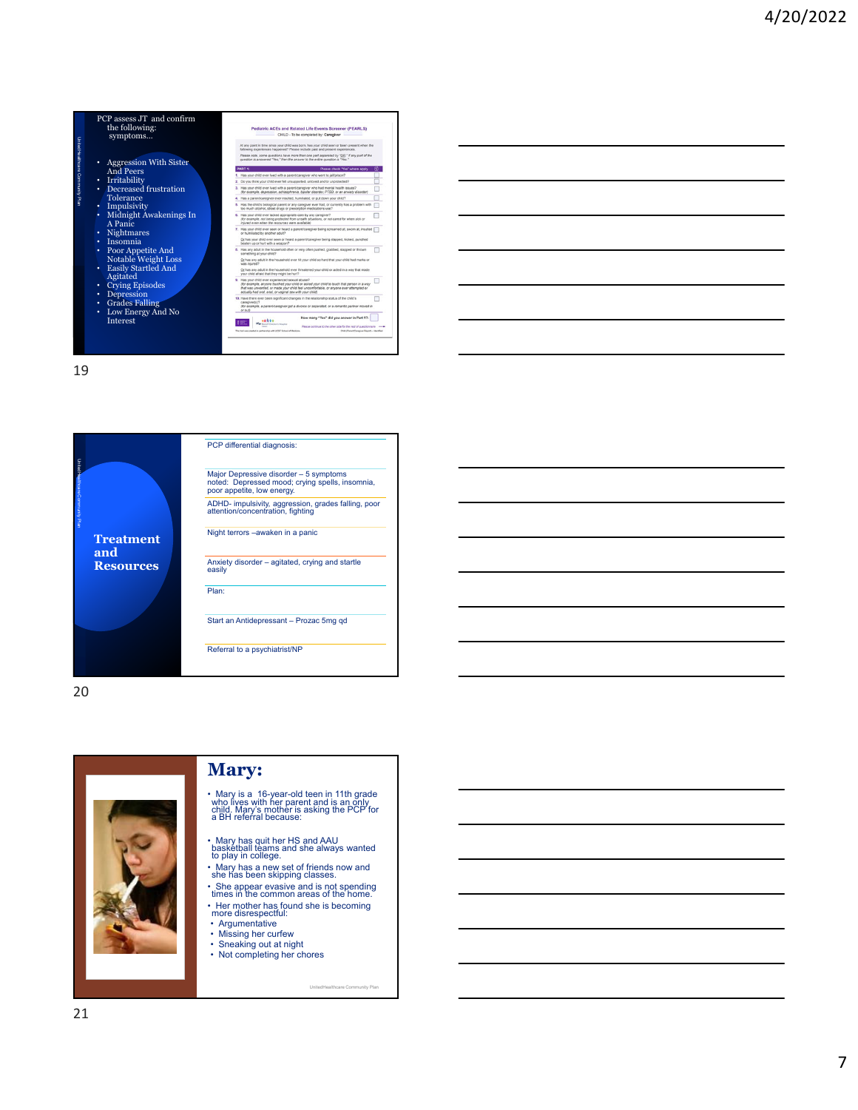





20



## **Mary:**

- Mary is a 16-year-old teen in 11th grade who lives with her parent and is an only child. Mary's mother is asking the PCP for a BH referral because:
- Mary has quit her HS and AAU basketball teams and she always wanted to play in college.
- Mary has a new set of friends now and she has been skipping classes.
- She appear evasive and is not spending times in the common areas of the home.

UnitedHealthcare Community Plan

- Her mother has found she is becoming more disrespectful:
- Argumentative
- Missing her curfew
- Sneaking out at night Not completing her chores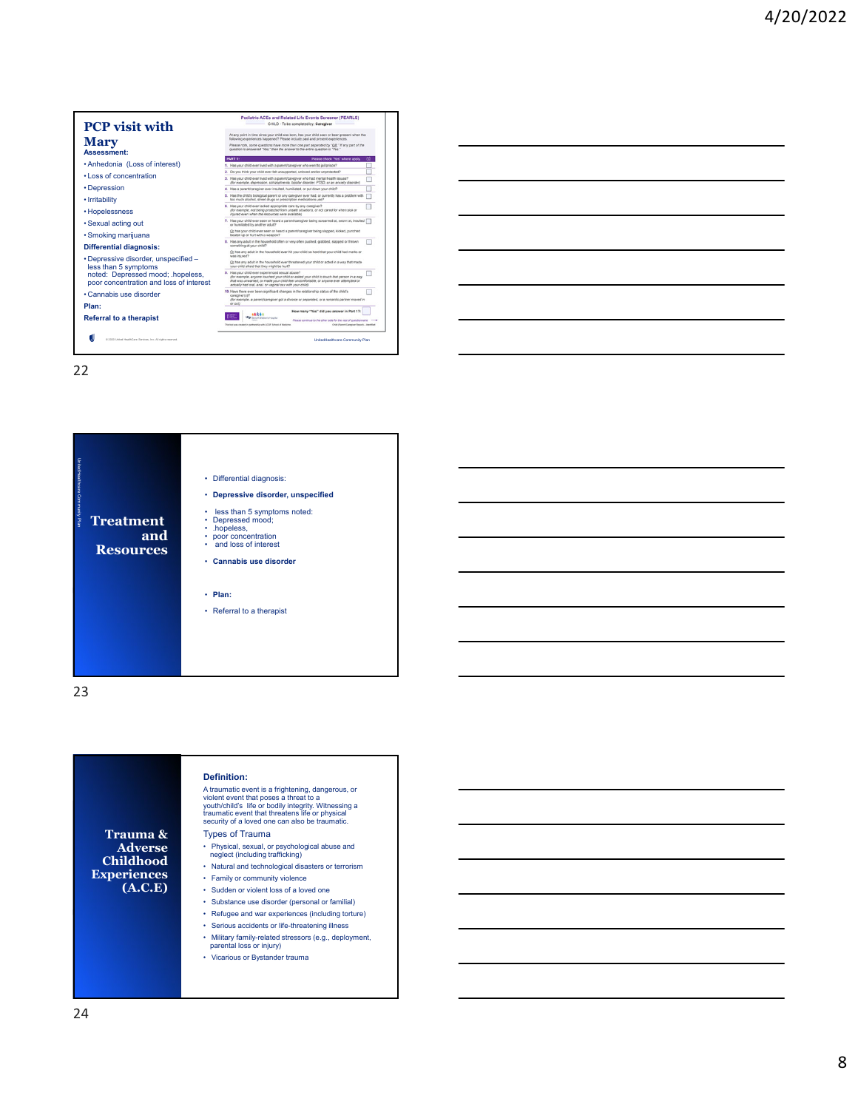





23

**Trauma & Adverse Childhood Experiences (A.C.E) Definition:** A traumatic event is a frightening, dangerous, or<br>violent event that poses a threat to a<br>youth/child's life or bodily integrity. Witnessing a<br>traumatic event that threatens life or physical<br>security of a loved one can also Types of Trauma • Physical, sexual, or psychological abuse and neglect (including trafficking) • Natural and technological disasters or terrorism • Family or community violence • Sudden or violent loss of a loved one • Substance use disorder (personal or familial) • Refugee and war experiences (including torture) • Serious accidents or life-threatening illness • Military family-related stressors (e.g., deployment, parental loss or injury) • Vicarious or Bystander trauma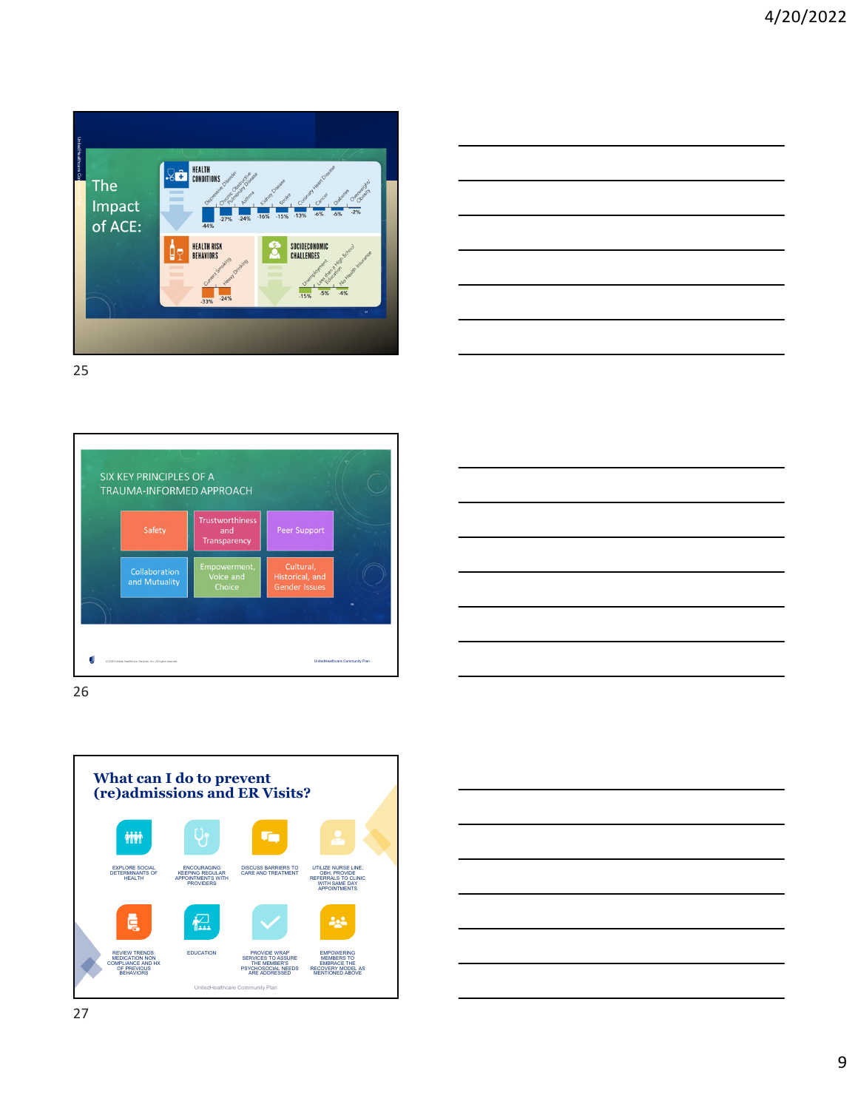